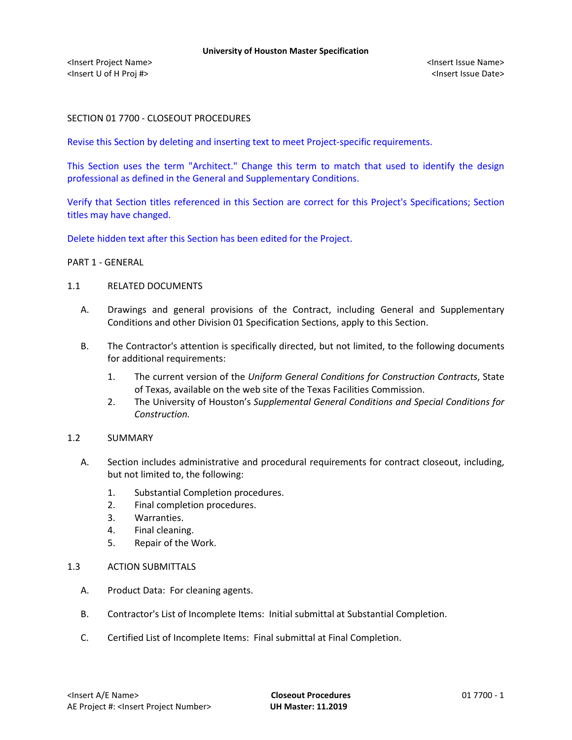# SECTION 01 7700 - CLOSEOUT PROCEDURES

Revise this Section by deleting and inserting text to meet Project-specific requirements.

This Section uses the term "Architect." Change this term to match that used to identify the design professional as defined in the General and Supplementary Conditions.

Verify that Section titles referenced in this Section are correct for this Project's Specifications; Section titles may have changed.

Delete hidden text after this Section has been edited for the Project.

## PART 1 - GENERAL

#### 1.1 RELATED DOCUMENTS

- A. Drawings and general provisions of the Contract, including General and Supplementary Conditions and other Division 01 Specification Sections, apply to this Section.
- B. The Contractor's attention is specifically directed, but not limited, to the following documents for additional requirements:
	- 1. The current version of the *Uniform General Conditions for Construction Contracts*, State of Texas, available on the web site of the Texas Facilities Commission.
	- 2. The University of Houston's *Supplemental General Conditions and Special Conditions for Construction.*

### 1.2 SUMMARY

- A. Section includes administrative and procedural requirements for contract closeout, including, but not limited to, the following:
	- 1. Substantial Completion procedures.
	- 2. Final completion procedures.
	- 3. Warranties.
	- 4. Final cleaning.
	- 5. Repair of the Work.

### 1.3 ACTION SUBMITTALS

- A. Product Data: For cleaning agents.
- B. Contractor's List of Incomplete Items: Initial submittal at Substantial Completion.
- C. Certified List of Incomplete Items: Final submittal at Final Completion.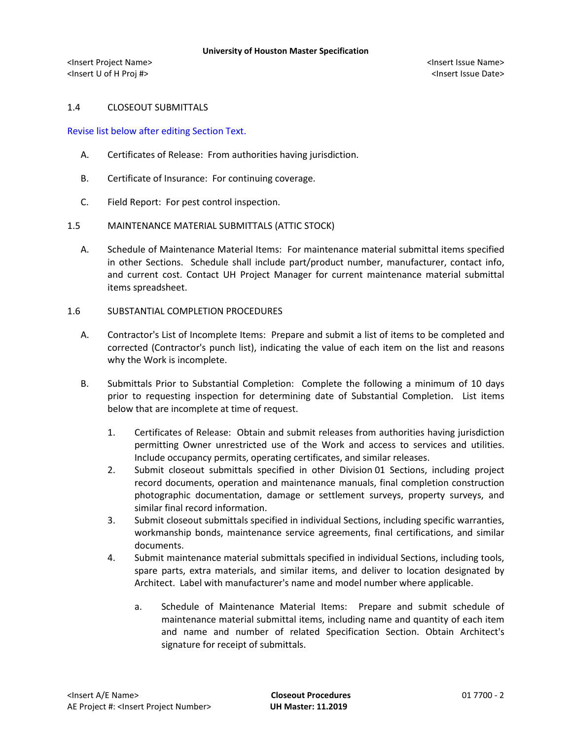<Insert Project Name> <Insert Issue Name> <Insert U of H Proj #> <Insert Issue Date>

# 1.4 CLOSEOUT SUBMITTALS

Revise list below after editing Section Text.

- A. Certificates of Release: From authorities having jurisdiction.
- B. Certificate of Insurance: For continuing coverage.
- C. Field Report: For pest control inspection.

## 1.5 MAINTENANCE MATERIAL SUBMITTALS (ATTIC STOCK)

- A. Schedule of Maintenance Material Items: For maintenance material submittal items specified in other Sections. Schedule shall include part/product number, manufacturer, contact info, and current cost. Contact UH Project Manager for current maintenance material submittal items spreadsheet.
- 1.6 SUBSTANTIAL COMPLETION PROCEDURES
	- A. Contractor's List of Incomplete Items: Prepare and submit a list of items to be completed and corrected (Contractor's punch list), indicating the value of each item on the list and reasons why the Work is incomplete.
	- B. Submittals Prior to Substantial Completion: Complete the following a minimum of 10 days prior to requesting inspection for determining date of Substantial Completion. List items below that are incomplete at time of request.
		- 1. Certificates of Release: Obtain and submit releases from authorities having jurisdiction permitting Owner unrestricted use of the Work and access to services and utilities. Include occupancy permits, operating certificates, and similar releases.
		- 2. Submit closeout submittals specified in other Division 01 Sections, including project record documents, operation and maintenance manuals, final completion construction photographic documentation, damage or settlement surveys, property surveys, and similar final record information.
		- 3. Submit closeout submittals specified in individual Sections, including specific warranties, workmanship bonds, maintenance service agreements, final certifications, and similar documents.
		- 4. Submit maintenance material submittals specified in individual Sections, including tools, spare parts, extra materials, and similar items, and deliver to location designated by Architect. Label with manufacturer's name and model number where applicable.
			- a. Schedule of Maintenance Material Items: Prepare and submit schedule of maintenance material submittal items, including name and quantity of each item and name and number of related Specification Section. Obtain Architect's signature for receipt of submittals.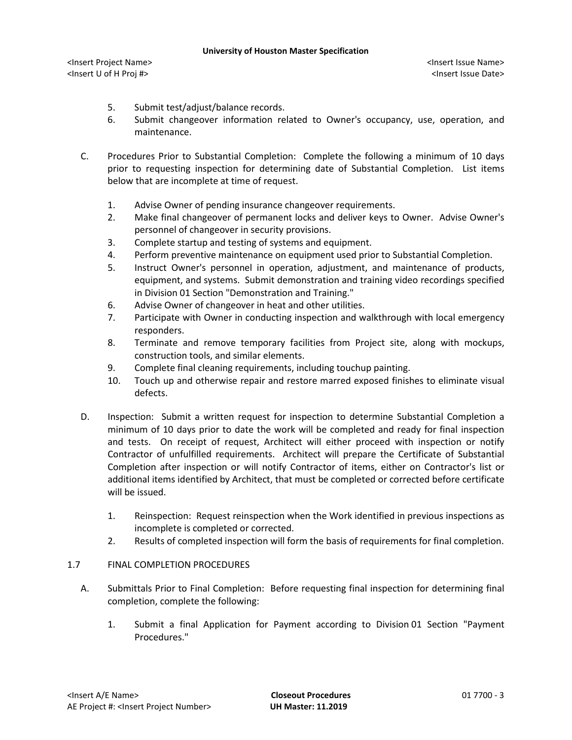<Insert Project Name> <Insert Issue Name> <Insert U of H Proj #> <Insert Issue Date>

- 5. Submit test/adjust/balance records.
- 6. Submit changeover information related to Owner's occupancy, use, operation, and maintenance.
- C. Procedures Prior to Substantial Completion: Complete the following a minimum of 10 days prior to requesting inspection for determining date of Substantial Completion. List items below that are incomplete at time of request.
	- 1. Advise Owner of pending insurance changeover requirements.
	- 2. Make final changeover of permanent locks and deliver keys to Owner. Advise Owner's personnel of changeover in security provisions.
	- 3. Complete startup and testing of systems and equipment.
	- 4. Perform preventive maintenance on equipment used prior to Substantial Completion.
	- 5. Instruct Owner's personnel in operation, adjustment, and maintenance of products, equipment, and systems. Submit demonstration and training video recordings specified in Division 01 Section "Demonstration and Training."
	- 6. Advise Owner of changeover in heat and other utilities.
	- 7. Participate with Owner in conducting inspection and walkthrough with local emergency responders.
	- 8. Terminate and remove temporary facilities from Project site, along with mockups, construction tools, and similar elements.
	- 9. Complete final cleaning requirements, including touchup painting.
	- 10. Touch up and otherwise repair and restore marred exposed finishes to eliminate visual defects.
- D. Inspection: Submit a written request for inspection to determine Substantial Completion a minimum of 10 days prior to date the work will be completed and ready for final inspection and tests. On receipt of request, Architect will either proceed with inspection or notify Contractor of unfulfilled requirements. Architect will prepare the Certificate of Substantial Completion after inspection or will notify Contractor of items, either on Contractor's list or additional items identified by Architect, that must be completed or corrected before certificate will be issued.
	- 1. Reinspection: Request reinspection when the Work identified in previous inspections as incomplete is completed or corrected.
	- 2. Results of completed inspection will form the basis of requirements for final completion.

### 1.7 FINAL COMPLETION PROCEDURES

- A. Submittals Prior to Final Completion: Before requesting final inspection for determining final completion, complete the following:
	- 1. Submit a final Application for Payment according to Division 01 Section "Payment Procedures."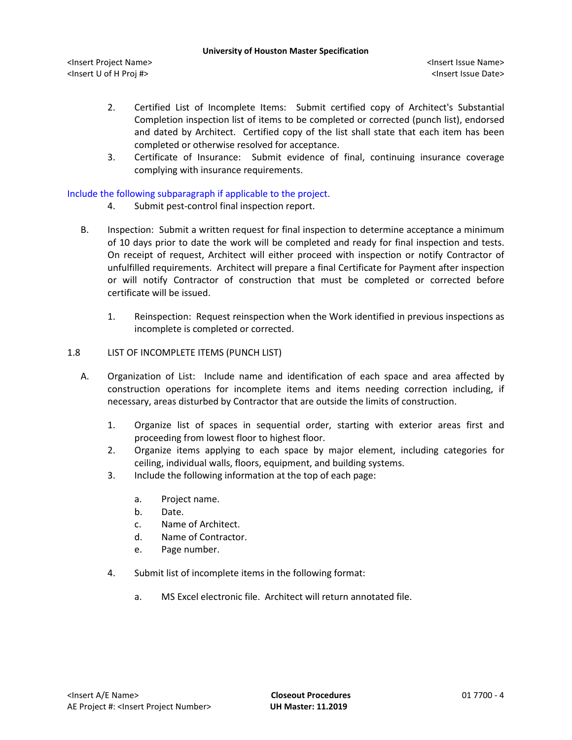<Insert Project Name> <Insert Issue Name> <Insert U of H Proj #> <Insert Issue Date>

- 2. Certified List of Incomplete Items: Submit certified copy of Architect's Substantial Completion inspection list of items to be completed or corrected (punch list), endorsed and dated by Architect. Certified copy of the list shall state that each item has been completed or otherwise resolved for acceptance.
- 3. Certificate of Insurance: Submit evidence of final, continuing insurance coverage complying with insurance requirements.

# Include the following subparagraph if applicable to the project.

- 4. Submit pest-control final inspection report.
- B. Inspection: Submit a written request for final inspection to determine acceptance a minimum of 10 days prior to date the work will be completed and ready for final inspection and tests. On receipt of request, Architect will either proceed with inspection or notify Contractor of unfulfilled requirements. Architect will prepare a final Certificate for Payment after inspection or will notify Contractor of construction that must be completed or corrected before certificate will be issued.
	- 1. Reinspection: Request reinspection when the Work identified in previous inspections as incomplete is completed or corrected.

## 1.8 LIST OF INCOMPLETE ITEMS (PUNCH LIST)

- A. Organization of List: Include name and identification of each space and area affected by construction operations for incomplete items and items needing correction including, if necessary, areas disturbed by Contractor that are outside the limits of construction.
	- 1. Organize list of spaces in sequential order, starting with exterior areas first and proceeding from lowest floor to highest floor.
	- 2. Organize items applying to each space by major element, including categories for ceiling, individual walls, floors, equipment, and building systems.
	- 3. Include the following information at the top of each page:
		- a. Project name.
		- b. Date.
		- c. Name of Architect.
		- d. Name of Contractor.
		- e. Page number.
	- 4. Submit list of incomplete items in the following format:
		- a. MS Excel electronic file. Architect will return annotated file.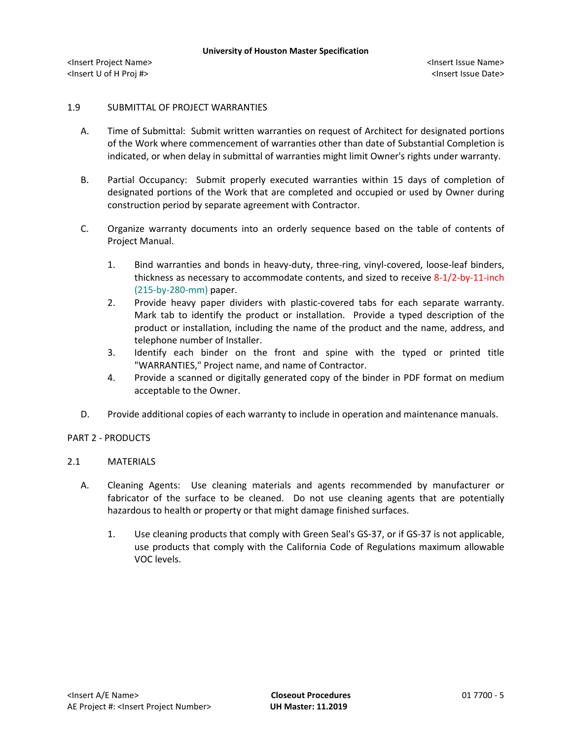# 1.9 SUBMITTAL OF PROJECT WARRANTIES

- A. Time of Submittal: Submit written warranties on request of Architect for designated portions of the Work where commencement of warranties other than date of Substantial Completion is indicated, or when delay in submittal of warranties might limit Owner's rights under warranty.
- B. Partial Occupancy: Submit properly executed warranties within 15 days of completion of designated portions of the Work that are completed and occupied or used by Owner during construction period by separate agreement with Contractor.
- C. Organize warranty documents into an orderly sequence based on the table of contents of Project Manual.
	- 1. Bind warranties and bonds in heavy-duty, three-ring, vinyl-covered, loose-leaf binders, thickness as necessary to accommodate contents, and sized to receive 8-1/2-by-11-inch (215-by-280-mm) paper.
	- 2. Provide heavy paper dividers with plastic-covered tabs for each separate warranty. Mark tab to identify the product or installation. Provide a typed description of the product or installation, including the name of the product and the name, address, and telephone number of Installer.
	- 3. Identify each binder on the front and spine with the typed or printed title "WARRANTIES," Project name, and name of Contractor.
	- 4. Provide a scanned or digitally generated copy of the binder in PDF format on medium acceptable to the Owner.
- D. Provide additional copies of each warranty to include in operation and maintenance manuals.

# PART 2 - PRODUCTS

# 2.1 MATERIALS

- A. Cleaning Agents: Use cleaning materials and agents recommended by manufacturer or fabricator of the surface to be cleaned. Do not use cleaning agents that are potentially hazardous to health or property or that might damage finished surfaces.
	- 1. Use cleaning products that comply with Green Seal's GS-37, or if GS-37 is not applicable, use products that comply with the California Code of Regulations maximum allowable VOC levels.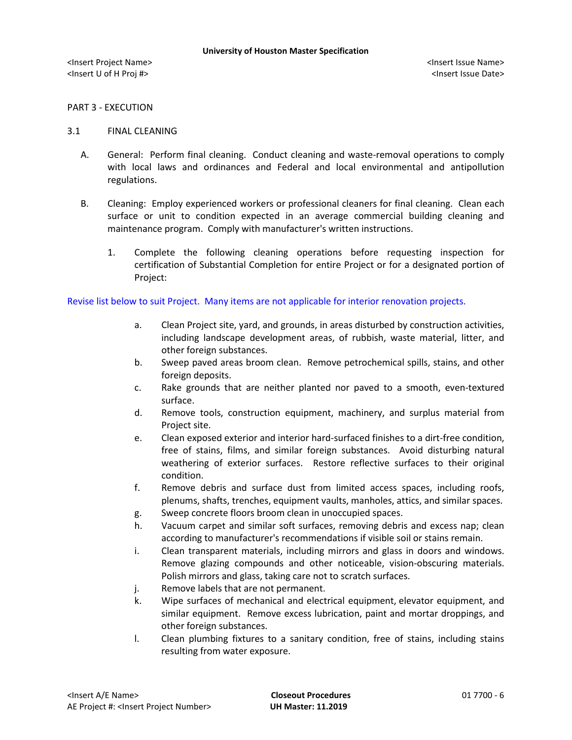## PART 3 - EXECUTION

### 3.1 FINAL CLEANING

- A. General: Perform final cleaning. Conduct cleaning and waste-removal operations to comply with local laws and ordinances and Federal and local environmental and antipollution regulations.
- B. Cleaning: Employ experienced workers or professional cleaners for final cleaning. Clean each surface or unit to condition expected in an average commercial building cleaning and maintenance program. Comply with manufacturer's written instructions.
	- 1. Complete the following cleaning operations before requesting inspection for certification of Substantial Completion for entire Project or for a designated portion of Project:

Revise list below to suit Project. Many items are not applicable for interior renovation projects.

- a. Clean Project site, yard, and grounds, in areas disturbed by construction activities, including landscape development areas, of rubbish, waste material, litter, and other foreign substances.
- b. Sweep paved areas broom clean. Remove petrochemical spills, stains, and other foreign deposits.
- c. Rake grounds that are neither planted nor paved to a smooth, even-textured surface.
- d. Remove tools, construction equipment, machinery, and surplus material from Project site.
- e. Clean exposed exterior and interior hard-surfaced finishes to a dirt-free condition, free of stains, films, and similar foreign substances. Avoid disturbing natural weathering of exterior surfaces. Restore reflective surfaces to their original condition.
- f. Remove debris and surface dust from limited access spaces, including roofs, plenums, shafts, trenches, equipment vaults, manholes, attics, and similar spaces.
- g. Sweep concrete floors broom clean in unoccupied spaces.
- h. Vacuum carpet and similar soft surfaces, removing debris and excess nap; clean according to manufacturer's recommendations if visible soil or stains remain.
- i. Clean transparent materials, including mirrors and glass in doors and windows. Remove glazing compounds and other noticeable, vision-obscuring materials. Polish mirrors and glass, taking care not to scratch surfaces.
- j. Remove labels that are not permanent.
- k. Wipe surfaces of mechanical and electrical equipment, elevator equipment, and similar equipment. Remove excess lubrication, paint and mortar droppings, and other foreign substances.
- l. Clean plumbing fixtures to a sanitary condition, free of stains, including stains resulting from water exposure.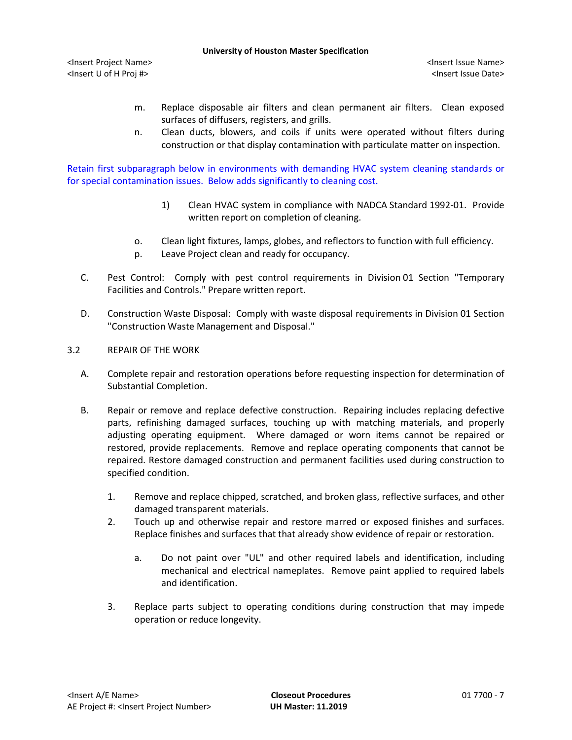#### **University of Houston Master Specification**

<Insert Project Name> <Insert Issue Name> <Insert U of H Proj #> <Insert Issue Date>

- m. Replace disposable air filters and clean permanent air filters. Clean exposed surfaces of diffusers, registers, and grills.
- n. Clean ducts, blowers, and coils if units were operated without filters during construction or that display contamination with particulate matter on inspection.

Retain first subparagraph below in environments with demanding HVAC system cleaning standards or for special contamination issues. Below adds significantly to cleaning cost.

- 1) Clean HVAC system in compliance with NADCA Standard 1992-01. Provide written report on completion of cleaning.
- o. Clean light fixtures, lamps, globes, and reflectors to function with full efficiency.
- p. Leave Project clean and ready for occupancy.
- C. Pest Control: Comply with pest control requirements in Division 01 Section "Temporary Facilities and Controls." Prepare written report.
- D. Construction Waste Disposal: Comply with waste disposal requirements in Division 01 Section "Construction Waste Management and Disposal."
- 3.2 REPAIR OF THE WORK
	- A. Complete repair and restoration operations before requesting inspection for determination of Substantial Completion.
	- B. Repair or remove and replace defective construction. Repairing includes replacing defective parts, refinishing damaged surfaces, touching up with matching materials, and properly adjusting operating equipment. Where damaged or worn items cannot be repaired or restored, provide replacements. Remove and replace operating components that cannot be repaired. Restore damaged construction and permanent facilities used during construction to specified condition.
		- 1. Remove and replace chipped, scratched, and broken glass, reflective surfaces, and other damaged transparent materials.
		- 2. Touch up and otherwise repair and restore marred or exposed finishes and surfaces. Replace finishes and surfaces that that already show evidence of repair or restoration.
			- a. Do not paint over "UL" and other required labels and identification, including mechanical and electrical nameplates. Remove paint applied to required labels and identification.
		- 3. Replace parts subject to operating conditions during construction that may impede operation or reduce longevity.